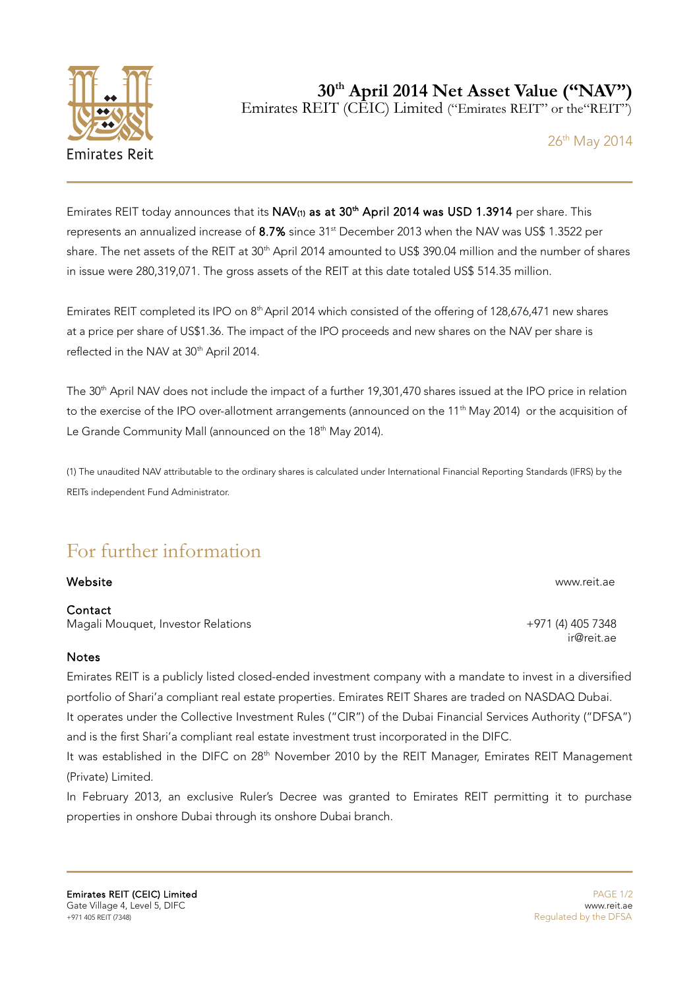

**30th April 2014 Net Asset Value ("NAV")** Emirates REIT (CEIC) Limited ("Emirates REIT" or the"REIT")

26<sup>th</sup> May 2014

Emirates REIT today announces that its NAV(1) as at 30<sup>th</sup> April 2014 was USD 1.3914 per share. This represents an annualized increase of 8.7% since 31<sup>st</sup> December 2013 when the NAV was US\$ 1.3522 per share. The net assets of the REIT at 30<sup>th</sup> April 2014 amounted to US\$ 390.04 million and the number of shares in issue were 280,319,071. The gross assets of the REIT at this date totaled US\$ 514.35 million.

Emirates REIT completed its IPO on 8<sup>th</sup> April 2014 which consisted of the offering of 128,676,471 new shares at a price per share of US\$1.36. The impact of the IPO proceeds and new shares on the NAV per share is reflected in the NAV at 30<sup>th</sup> April 2014.

The 30<sup>th</sup> April NAV does not include the impact of a further 19,301,470 shares issued at the IPO price in relation to the exercise of the IPO over-allotment arrangements (announced on the 11<sup>th</sup> May 2014) or the acquisition of Le Grande Community Mall (announced on the 18<sup>th</sup> May 2014).

(1) The unaudited NAV attributable to the ordinary shares is calculated under International Financial Reporting Standards (IFRS) by the REITs independent Fund Administrator.

## For further information

## Website www.reit.ae

## **Contact**

Magali Mouquet, Investor Relations +971 (4) 405 7348

## **Notes**

Emirates REIT is a publicly listed closed-ended investment company with a mandate to invest in a diversified portfolio of Shari'a compliant real estate properties. Emirates REIT Shares are traded on NASDAQ Dubai. It operates under the Collective Investment Rules ("CIR") of the Dubai Financial Services Authority ("DFSA") and is the first Shari'a compliant real estate investment trust incorporated in the DIFC.

It was established in the DIFC on 28<sup>th</sup> November 2010 by the REIT Manager, Emirates REIT Management (Private) Limited.

In February 2013, an exclusive Ruler's Decree was granted to Emirates REIT permitting it to purchase properties in onshore Dubai through its onshore Dubai branch.

ir@reit.ae